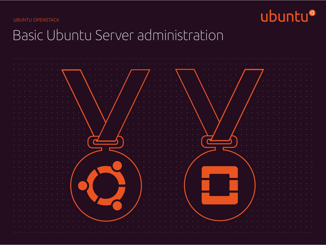UBUNTU OPENSTACK



# Basic Ubuntu Server administration

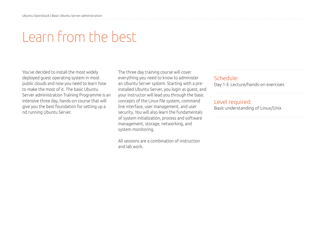## Learn from the best

You've decided to install the most widely deployed guest operating system in most public clouds and now you need to learn how to make the most of it. The basic Ubuntu Server administration Training Programme is an intensive three day, hands-on course that will give you the best foundation for setting up a nd running Ubuntu Server.

The three day training course will cover everything you need to know to administer an Ubuntu Server system. Starting with a preinstalled Ubuntu Server, you login as guest, and your instructor will lead you through the basic concepts of the Linux file system, command line interface, user management, and user security. You will also learn the fundamentals of system initialization, process and software management, storage, networking, and system monitoring.

All sessions are a combination of instruction and lab work.

#### Schedule: Day 1-3: Lecture/hands-on exercises

#### Level required:

Basic understanding of Linux/Unix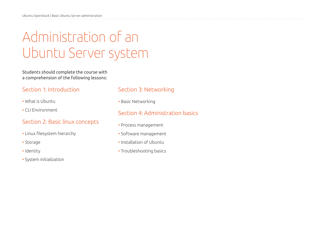# Administration of an Ubuntu Server system

Students should complete the course with a comprehension of the following lessons:

#### Section 1: Introduction

- What is Ubuntu
- CLI Environment

#### Section 2: Basic linux concepts

- Linux filesystem hierarchy
- Storage
- Identity
- System initialization

#### Section 3: Networking

• Basic Networking

### Section 4: Administration basics

- Process management
- Software management
- Installation of Ubuntu
- Troubleshooting basics